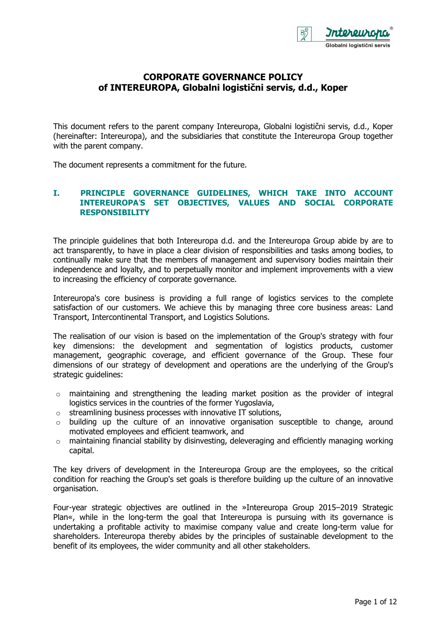

# **CORPORATE GOVERNANCE POLICY of INTEREUROPA, Globalni logistični servis, d.d., Koper**

This document refers to the parent company Intereuropa, Globalni logistični servis, d.d., Koper (hereinafter: Intereuropa), and the subsidiaries that constitute the Intereuropa Group together with the parent company.

The document represents a commitment for the future.

## **I. PRINCIPLE GOVERNANCE GUIDELINES, WHICH TAKE INTO ACCOUNT INTEREUROPA**'**S SET OBJECTIVES, VALUES AND SOCIAL CORPORATE RESPONSIBILITY**

The principle guidelines that both Intereuropa d.d. and the Intereuropa Group abide by are to act transparently, to have in place a clear division of responsibilities and tasks among bodies, to continually make sure that the members of management and supervisory bodies maintain their independence and loyalty, and to perpetually monitor and implement improvements with a view to increasing the efficiency of corporate governance.

Intereuropa's core business is providing a full range of logistics services to the complete satisfaction of our customers. We achieve this by managing three core business areas: Land Transport, Intercontinental Transport, and Logistics Solutions.

The realisation of our vision is based on the implementation of the Group's strategy with four key dimensions: the development and segmentation of logistics products, customer management, geographic coverage, and efficient governance of the Group. These four dimensions of our strategy of development and operations are the underlying of the Group's strategic guidelines:

- $\circ$  maintaining and strengthening the leading market position as the provider of integral logistics services in the countries of the former Yugoslavia,
- $\circ$  streamlining business processes with innovative IT solutions,
- $\circ$  building up the culture of an innovative organisation susceptible to change, around motivated employees and efficient teamwork, and
- $\circ$  maintaining financial stability by disinvesting, deleveraging and efficiently managing working capital.

The key drivers of development in the Intereuropa Group are the employees, so the critical condition for reaching the Group's set goals is therefore building up the culture of an innovative organisation.

Four-year strategic objectives are outlined in the »Intereuropa Group 2015–2019 Strategic Plan«, while in the long-term the goal that Intereuropa is pursuing with its governance is undertaking a profitable activity to maximise company value and create long-term value for shareholders. Intereuropa thereby abides by the principles of sustainable development to the benefit of its employees, the wider community and all other stakeholders.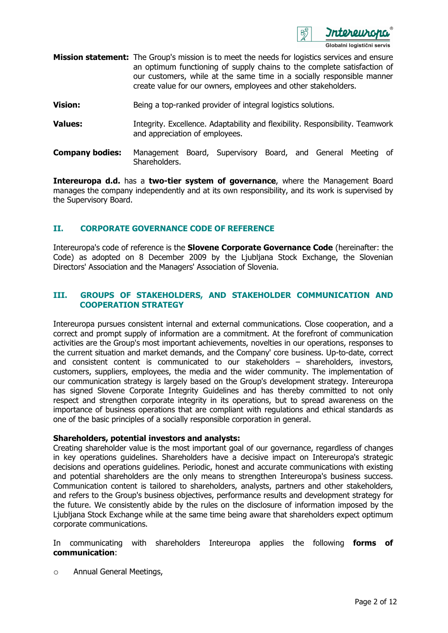

- **Mission statement:** The Group's mission is to meet the needs for logistics services and ensure an optimum functioning of supply chains to the complete satisfaction of our customers, while at the same time in a socially responsible manner create value for our owners, employees and other stakeholders.
- **Vision: Being a top-ranked provider of integral logistics solutions.**
- **Values:** Integrity. Excellence. Adaptability and flexibility. Responsibility. Teamwork and appreciation of employees.
- **Company bodies:** Management Board, Supervisory Board, and General Meeting of Shareholders.

**Intereuropa d.d.** has a **two-tier system of governance**, where the Management Board manages the company independently and at its own responsibility, and its work is supervised by the Supervisory Board.

## **II. CORPORATE GOVERNANCE CODE OF REFERENCE**

Intereuropa's code of reference is the **Slovene Corporate Governance Code** (hereinafter: the Code) as adopted on 8 December 2009 by the Ljubljana Stock Exchange, the Slovenian Directors' Association and the Managers' Association of Slovenia.

## **III. GROUPS OF STAKEHOLDERS, AND STAKEHOLDER COMMUNICATION AND COOPERATION STRATEGY**

Intereuropa pursues consistent internal and external communications. Close cooperation, and a correct and prompt supply of information are a commitment. At the forefront of communication activities are the Group's most important achievements, novelties in our operations, responses to the current situation and market demands, and the Company' core business. Up-to-date, correct and consistent content is communicated to our stakeholders – shareholders, investors, customers, suppliers, employees, the media and the wider community. The implementation of our communication strategy is largely based on the Group's development strategy. Intereuropa has signed Slovene Corporate Integrity Guidelines and has thereby committed to not only respect and strengthen corporate integrity in its operations, but to spread awareness on the importance of business operations that are compliant with regulations and ethical standards as one of the basic principles of a socially responsible corporation in general.

### **Shareholders, potential investors and analysts:**

Creating shareholder value is the most important goal of our governance, regardless of changes in key operations guidelines. Shareholders have a decisive impact on Intereuropa's strategic decisions and operations guidelines. Periodic, honest and accurate communications with existing and potential shareholders are the only means to strengthen Intereuropa's business success. Communication content is tailored to shareholders, analysts, partners and other stakeholders, and refers to the Group's business objectives, performance results and development strategy for the future. We consistently abide by the rules on the disclosure of information imposed by the Ljubljana Stock Exchange while at the same time being aware that shareholders expect optimum corporate communications.

In communicating with shareholders Intereuropa applies the following **forms of communication**:

o Annual General Meetings,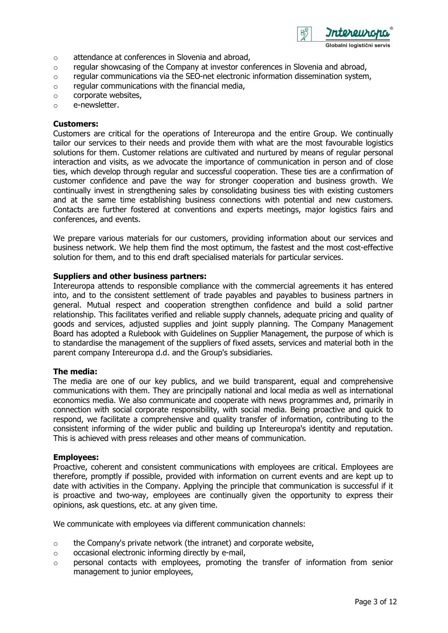

- o attendance at conferences in Slovenia and abroad,
- $\circ$  regular showcasing of the Company at investor conferences in Slovenia and abroad,
- o regular communications via the SEO-net electronic information dissemination system,
- $\circ$  regular communications with the financial media,
- o corporate websites,
- o e-newsletter.

## **Customers:**

Customers are critical for the operations of Intereuropa and the entire Group. We continually tailor our services to their needs and provide them with what are the most favourable logistics solutions for them. Customer relations are cultivated and nurtured by means of regular personal interaction and visits, as we advocate the importance of communication in person and of close ties, which develop through regular and successful cooperation. These ties are a confirmation of customer confidence and pave the way for stronger cooperation and business growth. We continually invest in strengthening sales by consolidating business ties with existing customers and at the same time establishing business connections with potential and new customers. Contacts are further fostered at conventions and experts meetings, major logistics fairs and conferences, and events.

We prepare various materials for our customers, providing information about our services and business network. We help them find the most optimum, the fastest and the most cost-effective solution for them, and to this end draft specialised materials for particular services.

### **Suppliers and other business partners:**

Intereuropa attends to responsible compliance with the commercial agreements it has entered into, and to the consistent settlement of trade payables and payables to business partners in general. Mutual respect and cooperation strengthen confidence and build a solid partner relationship. This facilitates verified and reliable supply channels, adequate pricing and quality of goods and services, adjusted supplies and joint supply planning. The Company Management Board has adopted a Rulebook with Guidelines on Supplier Management, the purpose of which is to standardise the management of the suppliers of fixed assets, services and material both in the parent company Intereuropa d.d. and the Group's subsidiaries.

### **The media:**

The media are one of our key publics, and we build transparent, equal and comprehensive communications with them. They are principally national and local media as well as international economics media. We also communicate and cooperate with news programmes and, primarily in connection with social corporate responsibility, with social media. Being proactive and quick to respond, we facilitate a comprehensive and quality transfer of information, contributing to the consistent informing of the wider public and building up Intereuropa's identity and reputation. This is achieved with press releases and other means of communication.

### **Employees:**

Proactive, coherent and consistent communications with employees are critical. Employees are therefore, promptly if possible, provided with information on current events and are kept up to date with activities in the Company. Applying the principle that communication is successful if it is proactive and two-way, employees are continually given the opportunity to express their opinions, ask questions, etc. at any given time.

We communicate with employees via different communication channels:

- o the Company's private network (the intranet) and corporate website,
- $\circ$  occasional electronic informing directly by e-mail,
- o personal contacts with employees, promoting the transfer of information from senior management to junior employees,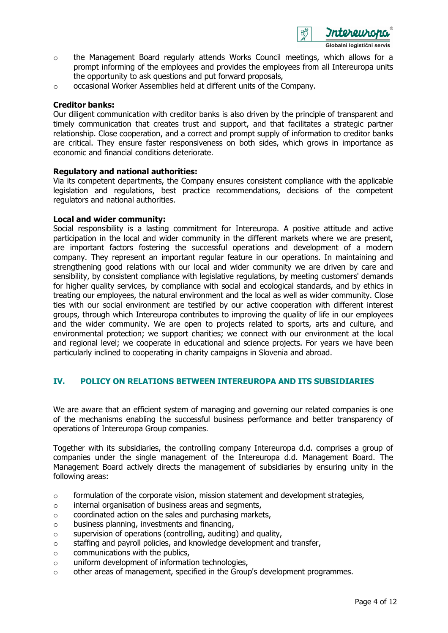

- $\circ$  the Management Board regularly attends Works Council meetings, which allows for a prompt informing of the employees and provides the employees from all Intereuropa units the opportunity to ask questions and put forward proposals,
- o occasional Worker Assemblies held at different units of the Company.

### **Creditor banks:**

Our diligent communication with creditor banks is also driven by the principle of transparent and timely communication that creates trust and support, and that facilitates a strategic partner relationship. Close cooperation, and a correct and prompt supply of information to creditor banks are critical. They ensure faster responsiveness on both sides, which grows in importance as economic and financial conditions deteriorate.

## **Regulatory and national authorities:**

Via its competent departments, the Company ensures consistent compliance with the applicable legislation and regulations, best practice recommendations, decisions of the competent regulators and national authorities.

### **Local and wider community:**

Social responsibility is a lasting commitment for Intereuropa. A positive attitude and active participation in the local and wider community in the different markets where we are present, are important factors fostering the successful operations and development of a modern company. They represent an important regular feature in our operations. In maintaining and strengthening good relations with our local and wider community we are driven by care and sensibility, by consistent compliance with legislative regulations, by meeting customers' demands for higher quality services, by compliance with social and ecological standards, and by ethics in treating our employees, the natural environment and the local as well as wider community. Close ties with our social environment are testified by our active cooperation with different interest groups, through which Intereuropa contributes to improving the quality of life in our employees and the wider community. We are open to projects related to sports, arts and culture, and environmental protection; we support charities; we connect with our environment at the local and regional level; we cooperate in educational and science projects. For years we have been particularly inclined to cooperating in charity campaigns in Slovenia and abroad.

## **IV. POLICY ON RELATIONS BETWEEN INTEREUROPA AND ITS SUBSIDIARIES**

We are aware that an efficient system of managing and governing our related companies is one of the mechanisms enabling the successful business performance and better transparency of operations of Intereuropa Group companies.

Together with its subsidiaries, the controlling company Intereuropa d.d. comprises a group of companies under the single management of the Intereuropa d.d. Management Board. The Management Board actively directs the management of subsidiaries by ensuring unity in the following areas:

- $\circ$  formulation of the corporate vision, mission statement and development strategies,
- o internal organisation of business areas and segments,
- $\circ$  coordinated action on the sales and purchasing markets,
- o business planning, investments and financing,
- $\circ$  supervision of operations (controlling, auditing) and quality,
- $\circ$  staffing and payroll policies, and knowledge development and transfer,
- $\circ$  communications with the publics,
- o uniform development of information technologies,
- $\circ$  other areas of management, specified in the Group's development programmes.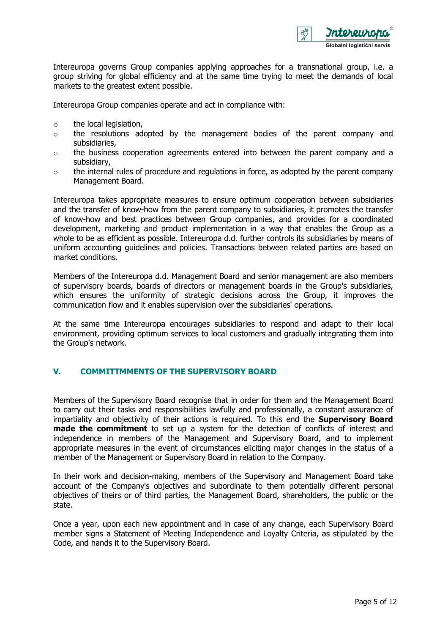

Intereuropa governs Group companies applying approaches for a transnational group, i.e. a group striving for global efficiency and at the same time trying to meet the demands of local markets to the greatest extent possible.

Intereuropa Group companies operate and act in compliance with:

- $\circ$  the local legislation,
- o the resolutions adopted by the management bodies of the parent company and subsidiaries,
- $\circ$  the business cooperation agreements entered into between the parent company and a subsidiary,
- $\circ$  the internal rules of procedure and regulations in force, as adopted by the parent company Management Board.

Intereuropa takes appropriate measures to ensure optimum cooperation between subsidiaries and the transfer of know-how from the parent company to subsidiaries, it promotes the transfer of know-how and best practices between Group companies, and provides for a coordinated development, marketing and product implementation in a way that enables the Group as a whole to be as efficient as possible. Intereuropa d.d. further controls its subsidiaries by means of uniform accounting guidelines and policies. Transactions between related parties are based on market conditions.

Members of the Intereuropa d.d. Management Board and senior management are also members of supervisory boards, boards of directors or management boards in the Group's subsidiaries, which ensures the uniformity of strategic decisions across the Group, it improves the communication flow and it enables supervision over the subsidiaries' operations.

At the same time Intereuropa encourages subsidiaries to respond and adapt to their local environment, providing optimum services to local customers and gradually integrating them into the Group's network.

### **V. COMMITTMMENTS OF THE SUPERVISORY BOARD**

Members of the Supervisory Board recognise that in order for them and the Management Board to carry out their tasks and responsibilities lawfully and professionally, a constant assurance of impartiality and objectivity of their actions is required. To this end the **Supervisory Board made the commitment** to set up a system for the detection of conflicts of interest and independence in members of the Management and Supervisory Board, and to implement appropriate measures in the event of circumstances eliciting major changes in the status of a member of the Management or Supervisory Board in relation to the Company.

In their work and decision-making, members of the Supervisory and Management Board take account of the Company's objectives and subordinate to them potentially different personal objectives of theirs or of third parties, the Management Board, shareholders, the public or the state.

Once a year, upon each new appointment and in case of any change, each Supervisory Board member signs a Statement of Meeting Independence and Loyalty Criteria, as stipulated by the Code, and hands it to the Supervisory Board.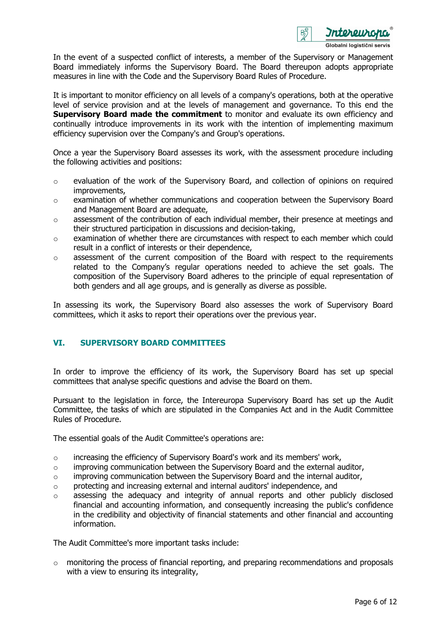

In the event of a suspected conflict of interests, a member of the Supervisory or Management Board immediately informs the Supervisory Board. The Board thereupon adopts appropriate measures in line with the Code and the Supervisory Board Rules of Procedure.

It is important to monitor efficiency on all levels of a company's operations, both at the operative level of service provision and at the levels of management and governance. To this end the **Supervisory Board made the commitment** to monitor and evaluate its own efficiency and continually introduce improvements in its work with the intention of implementing maximum efficiency supervision over the Company's and Group's operations.

Once a year the Supervisory Board assesses its work, with the assessment procedure including the following activities and positions:

- $\circ$  evaluation of the work of the Supervisory Board, and collection of opinions on required improvements,
- $\circ$  examination of whether communications and cooperation between the Supervisory Board and Management Board are adequate,
- $\circ$  assessment of the contribution of each individual member, their presence at meetings and their structured participation in discussions and decision-taking,
- $\circ$  examination of whether there are circumstances with respect to each member which could result in a conflict of interests or their dependence,
- o assessment of the current composition of the Board with respect to the requirements related to the Company's regular operations needed to achieve the set goals. The composition of the Supervisory Board adheres to the principle of equal representation of both genders and all age groups, and is generally as diverse as possible.

In assessing its work, the Supervisory Board also assesses the work of Supervisory Board committees, which it asks to report their operations over the previous year.

## **VI. SUPERVISORY BOARD COMMITTEES**

In order to improve the efficiency of its work, the Supervisory Board has set up special committees that analyse specific questions and advise the Board on them.

Pursuant to the legislation in force, the Intereuropa Supervisory Board has set up the Audit Committee, the tasks of which are stipulated in the Companies Act and in the Audit Committee Rules of Procedure.

The essential goals of the Audit Committee's operations are:

- $\circ$  increasing the efficiency of Supervisory Board's work and its members' work,
- o improving communication between the Supervisory Board and the external auditor,
- $\circ$  improving communication between the Supervisory Board and the internal auditor,
- $\circ$  protecting and increasing external and internal auditors' independence, and
- $\circ$  assessing the adequacy and integrity of annual reports and other publicly disclosed financial and accounting information, and consequently increasing the public's confidence in the credibility and objectivity of financial statements and other financial and accounting information.

The Audit Committee's more important tasks include:

o monitoring the process of financial reporting, and preparing recommendations and proposals with a view to ensuring its integrality,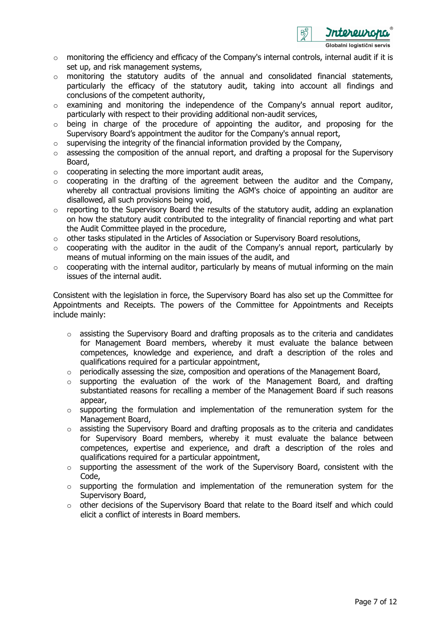

- $\circ$  monitoring the efficiency and efficacy of the Company's internal controls, internal audit if it is set up, and risk management systems,
- o monitoring the statutory audits of the annual and consolidated financial statements, particularly the efficacy of the statutory audit, taking into account all findings and conclusions of the competent authority,
- $\circ$  examining and monitoring the independence of the Company's annual report auditor, particularly with respect to their providing additional non-audit services,
- $\circ$  being in charge of the procedure of appointing the auditor, and proposing for the Supervisory Board's appointment the auditor for the Company's annual report,
- $\circ$  supervising the integrity of the financial information provided by the Company,
- $\circ$  assessing the composition of the annual report, and drafting a proposal for the Supervisory Board,
- $\circ$  cooperating in selecting the more important audit areas,
- $\circ$  cooperating in the drafting of the agreement between the auditor and the Company, whereby all contractual provisions limiting the AGM's choice of appointing an auditor are disallowed, all such provisions being void,
- o reporting to the Supervisory Board the results of the statutory audit, adding an explanation on how the statutory audit contributed to the integrality of financial reporting and what part the Audit Committee played in the procedure,
- $\circ$  other tasks stipulated in the Articles of Association or Supervisory Board resolutions,
- $\circ$  cooperating with the auditor in the audit of the Company's annual report, particularly by means of mutual informing on the main issues of the audit, and
- $\circ$  cooperating with the internal auditor, particularly by means of mutual informing on the main issues of the internal audit.

Consistent with the legislation in force, the Supervisory Board has also set up the Committee for Appointments and Receipts. The powers of the Committee for Appointments and Receipts include mainly:

- $\circ$  assisting the Supervisory Board and drafting proposals as to the criteria and candidates for Management Board members, whereby it must evaluate the balance between competences, knowledge and experience, and draft a description of the roles and qualifications required for a particular appointment,
- o periodically assessing the size, composition and operations of the Management Board,
- $\circ$  supporting the evaluation of the work of the Management Board, and drafting substantiated reasons for recalling a member of the Management Board if such reasons appear,
- $\circ$  supporting the formulation and implementation of the remuneration system for the Management Board,
- o assisting the Supervisory Board and drafting proposals as to the criteria and candidates for Supervisory Board members, whereby it must evaluate the balance between competences, expertise and experience, and draft a description of the roles and qualifications required for a particular appointment,
- o supporting the assessment of the work of the Supervisory Board, consistent with the Code,
- o supporting the formulation and implementation of the remuneration system for the Supervisory Board,
- o other decisions of the Supervisory Board that relate to the Board itself and which could elicit a conflict of interests in Board members.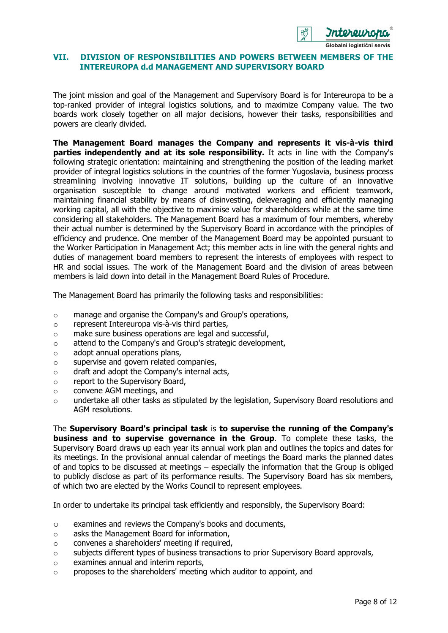

### **VII. DIVISION OF RESPONSIBILITIES AND POWERS BETWEEN MEMBERS OF THE INTEREUROPA d.d MANAGEMENT AND SUPERVISORY BOARD**

The joint mission and goal of the Management and Supervisory Board is for Intereuropa to be a top-ranked provider of integral logistics solutions, and to maximize Company value. The two boards work closely together on all major decisions, however their tasks, responsibilities and powers are clearly divided.

**The Management Board manages the Company and represents it vis-à-vis third parties independently and at its sole responsibility.** It acts in line with the Company's following strategic orientation: maintaining and strengthening the position of the leading market provider of integral logistics solutions in the countries of the former Yugoslavia, business process streamlining involving innovative IT solutions, building up the culture of an innovative organisation susceptible to change around motivated workers and efficient teamwork, maintaining financial stability by means of disinvesting, deleveraging and efficiently managing working capital, all with the objective to maximise value for shareholders while at the same time considering all stakeholders. The Management Board has a maximum of four members, whereby their actual number is determined by the Supervisory Board in accordance with the principles of efficiency and prudence. One member of the Management Board may be appointed pursuant to the Worker Participation in Management Act; this member acts in line with the general rights and duties of management board members to represent the interests of employees with respect to HR and social issues. The work of the Management Board and the division of areas between members is laid down into detail in the Management Board Rules of Procedure.

The Management Board has primarily the following tasks and responsibilities:

- o manage and organise the Company's and Group's operations,
- o represent Intereuropa vis-à-vis third parties,
- o make sure business operations are legal and successful,
- o attend to the Company's and Group's strategic development,
- o adopt annual operations plans,
- o supervise and govern related companies,
- o draft and adopt the Company's internal acts,
- o report to the Supervisory Board,
- o convene AGM meetings, and
- $\circ$  undertake all other tasks as stipulated by the legislation, Supervisory Board resolutions and AGM resolutions.

The **Supervisory Board's principal task** is **to supervise the running of the Company's business and to supervise governance in the Group**. To complete these tasks, the Supervisory Board draws up each year its annual work plan and outlines the topics and dates for its meetings. In the provisional annual calendar of meetings the Board marks the planned dates of and topics to be discussed at meetings – especially the information that the Group is obliged to publicly disclose as part of its performance results. The Supervisory Board has six members, of which two are elected by the Works Council to represent employees.

In order to undertake its principal task efficiently and responsibly, the Supervisory Board:

- o examines and reviews the Company's books and documents,
- o asks the Management Board for information,
- o convenes a shareholders' meeting if required,
- $\circ$  subjects different types of business transactions to prior Supervisory Board approvals,
- o examines annual and interim reports,
- $\circ$  proposes to the shareholders' meeting which auditor to appoint, and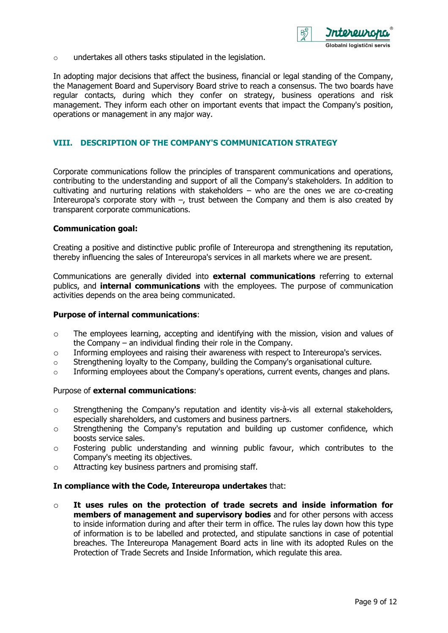盼

o undertakes all others tasks stipulated in the legislation.

In adopting major decisions that affect the business, financial or legal standing of the Company, the Management Board and Supervisory Board strive to reach a consensus. The two boards have regular contacts, during which they confer on strategy, business operations and risk management. They inform each other on important events that impact the Company's position, operations or management in any major way.

### **VIII. DESCRIPTION OF THE COMPANY'S COMMUNICATION STRATEGY**

Corporate communications follow the principles of transparent communications and operations, contributing to the understanding and support of all the Company's stakeholders. In addition to cultivating and nurturing relations with stakeholders – who are the ones we are co-creating Intereuropa's corporate story with  $-$ , trust between the Company and them is also created by transparent corporate communications.

### **Communication goal:**

Creating a positive and distinctive public profile of Intereuropa and strengthening its reputation, thereby influencing the sales of Intereuropa's services in all markets where we are present.

Communications are generally divided into **external communications** referring to external publics, and **internal communications** with the employees. The purpose of communication activities depends on the area being communicated.

#### **Purpose of internal communications**:

- o The employees learning, accepting and identifying with the mission, vision and values of the Company – an individual finding their role in the Company.
- $\circ$  Informing employees and raising their awareness with respect to Intereuropa's services.
- o Strengthening loyalty to the Company, building the Company's organisational culture.
- $\circ$  Informing employees about the Company's operations, current events, changes and plans.

#### Purpose of **external communications**:

- $\circ$  Strengthening the Company's reputation and identity vis-à-vis all external stakeholders, especially shareholders, and customers and business partners.
- o Strengthening the Company's reputation and building up customer confidence, which boosts service sales.
- o Fostering public understanding and winning public favour, which contributes to the Company's meeting its objectives.
- o Attracting key business partners and promising staff.

#### **In compliance with the Code, Intereuropa undertakes** that:

o **It uses rules on the protection of trade secrets and inside information for members of management and supervisory bodies** and for other persons with access to inside information during and after their term in office. The rules lay down how this type of information is to be labelled and protected, and stipulate sanctions in case of potential breaches. The Intereuropa Management Board acts in line with its adopted Rules on the Protection of Trade Secrets and Inside Information, which regulate this area.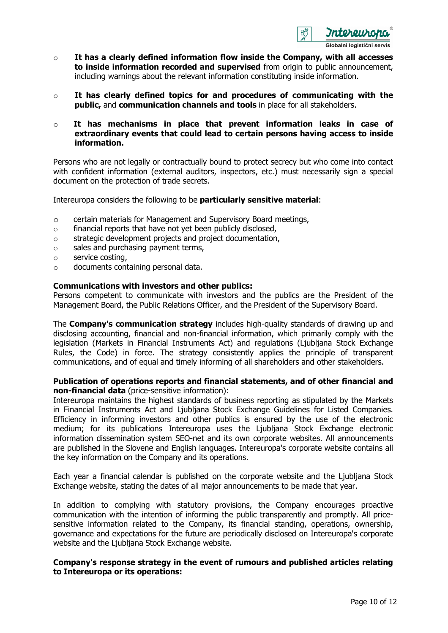

- o **It has a clearly defined information flow inside the Company, with all accesses to inside information recorded and supervised** from origin to public announcement, including warnings about the relevant information constituting inside information.
- o **It has clearly defined topics for and procedures of communicating with the public,** and **communication channels and tools** in place for all stakeholders.
- o **It has mechanisms in place that prevent information leaks in case of extraordinary events that could lead to certain persons having access to inside information.**

Persons who are not legally or contractually bound to protect secrecy but who come into contact with confident information (external auditors, inspectors, etc.) must necessarily sign a special document on the protection of trade secrets.

Intereuropa considers the following to be **particularly sensitive material**:

- o certain materials for Management and Supervisory Board meetings,
- o financial reports that have not yet been publicly disclosed,
- o strategic development projects and project documentation,
- o sales and purchasing payment terms,
- o service costing,
- o documents containing personal data.

#### **Communications with investors and other publics:**

Persons competent to communicate with investors and the publics are the President of the Management Board, the Public Relations Officer, and the President of the Supervisory Board.

The **Company's communication strategy** includes high-quality standards of drawing up and disclosing accounting, financial and non-financial information, which primarily comply with the legislation (Markets in Financial Instruments Act) and regulations (Ljubljana Stock Exchange Rules, the Code) in force. The strategy consistently applies the principle of transparent communications, and of equal and timely informing of all shareholders and other stakeholders.

### **Publication of operations reports and financial statements, and of other financial and non-financial data** (price-sensitive information):

Intereuropa maintains the highest standards of business reporting as stipulated by the Markets in Financial Instruments Act and Ljubljana Stock Exchange Guidelines for Listed Companies. Efficiency in informing investors and other publics is ensured by the use of the electronic medium; for its publications Intereuropa uses the Ljubljana Stock Exchange electronic information dissemination system SEO-net and its own corporate websites. All announcements are published in the Slovene and English languages. Intereuropa's corporate website contains all the key information on the Company and its operations.

Each year a financial calendar is published on the corporate website and the Ljubljana Stock Exchange website, stating the dates of all major announcements to be made that year.

In addition to complying with statutory provisions, the Company encourages proactive communication with the intention of informing the public transparently and promptly. All pricesensitive information related to the Company, its financial standing, operations, ownership, governance and expectations for the future are periodically disclosed on Intereuropa's corporate website and the Ljubljana Stock Exchange website.

### **Company's response strategy in the event of rumours and published articles relating to Intereuropa or its operations:**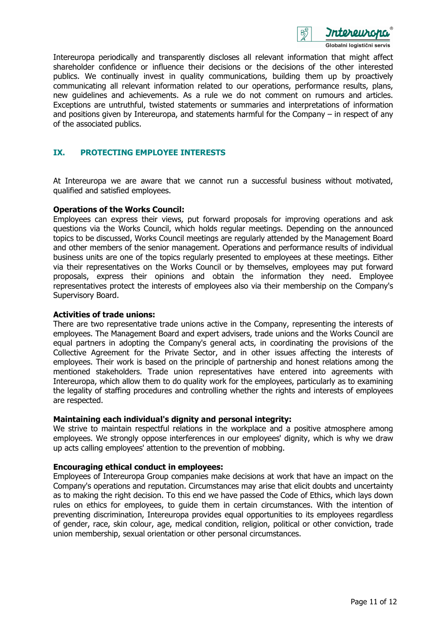

Intereuropa periodically and transparently discloses all relevant information that might affect shareholder confidence or influence their decisions or the decisions of the other interested publics. We continually invest in quality communications, building them up by proactively communicating all relevant information related to our operations, performance results, plans, new guidelines and achievements. As a rule we do not comment on rumours and articles. Exceptions are untruthful, twisted statements or summaries and interpretations of information and positions given by Intereuropa, and statements harmful for the Company – in respect of any of the associated publics.

## **IX. PROTECTING EMPLOYEE INTERESTS**

At Intereuropa we are aware that we cannot run a successful business without motivated, qualified and satisfied employees.

### **Operations of the Works Council:**

Employees can express their views, put forward proposals for improving operations and ask questions via the Works Council, which holds regular meetings. Depending on the announced topics to be discussed, Works Council meetings are regularly attended by the Management Board and other members of the senior management. Operations and performance results of individual business units are one of the topics regularly presented to employees at these meetings. Either via their representatives on the Works Council or by themselves, employees may put forward proposals, express their opinions and obtain the information they need. Employee representatives protect the interests of employees also via their membership on the Company's Supervisory Board.

#### **Activities of trade unions:**

There are two representative trade unions active in the Company, representing the interests of employees. The Management Board and expert advisers, trade unions and the Works Council are equal partners in adopting the Company's general acts, in coordinating the provisions of the Collective Agreement for the Private Sector, and in other issues affecting the interests of employees. Their work is based on the principle of partnership and honest relations among the mentioned stakeholders. Trade union representatives have entered into agreements with Intereuropa, which allow them to do quality work for the employees, particularly as to examining the legality of staffing procedures and controlling whether the rights and interests of employees are respected.

#### **Maintaining each individual's dignity and personal integrity:**

We strive to maintain respectful relations in the workplace and a positive atmosphere among employees. We strongly oppose interferences in our employees' dignity, which is why we draw up acts calling employees' attention to the prevention of mobbing.

### **Encouraging ethical conduct in employees:**

Employees of Intereuropa Group companies make decisions at work that have an impact on the Company's operations and reputation. Circumstances may arise that elicit doubts and uncertainty as to making the right decision. To this end we have passed the Code of Ethics, which lays down rules on ethics for employees, to guide them in certain circumstances. With the intention of preventing discrimination, Intereuropa provides equal opportunities to its employees regardless of gender, race, skin colour, age, medical condition, religion, political or other conviction, trade union membership, sexual orientation or other personal circumstances.